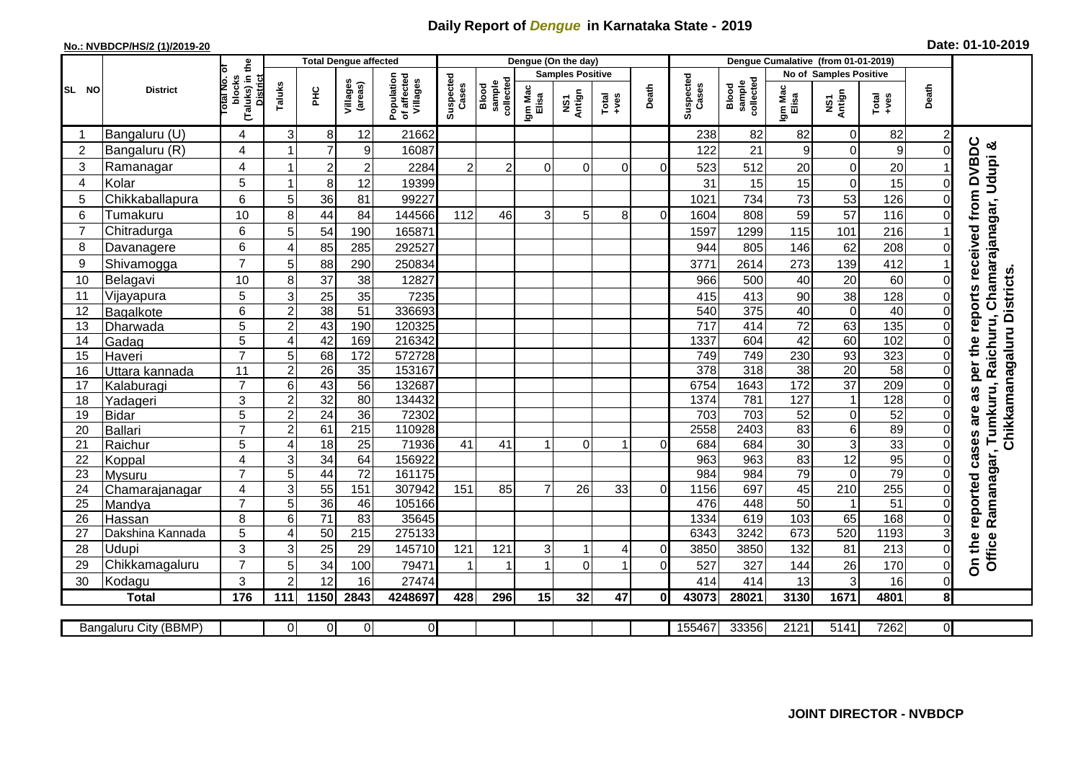## **Daily Report of** *Dengue* **in Karnataka State - 2019**

## **No.: NVBDCP/HS/2 (1)/2019-20 Date: 01-10-2019**

|                        | <b>District</b>       |                                                          | <b>Total Dengue affected</b> |                         |                     |                                       |                    |                              |                         | Dengue (On the day) |               |                |                    |                              |                  |                           |               |                |                                  |
|------------------------|-----------------------|----------------------------------------------------------|------------------------------|-------------------------|---------------------|---------------------------------------|--------------------|------------------------------|-------------------------|---------------------|---------------|----------------|--------------------|------------------------------|------------------|---------------------------|---------------|----------------|----------------------------------|
|                        |                       |                                                          |                              |                         |                     |                                       |                    |                              | <b>Samples Positive</b> |                     |               |                |                    | No of Samples Positive       |                  |                           |               |                |                                  |
| <b>SL</b><br><b>NO</b> |                       | blocks<br>(Taluks) in the<br><b>District</b><br>otal No. | Taluks                       | ΞÉ                      | Villages<br>(areas) | Population<br>of affected<br>Villages | Suspected<br>Cases | collected<br>sample<br>Blood | Igm Mac<br>Elisa        | Antign<br>ŠΝ        | Total<br>+ves | Death          | Suspected<br>Cases | collected<br>Blood<br>sample | Igm Mac<br>Elisa | NS1<br>Antign             | Total<br>+ves | Death          |                                  |
|                        | Bangaluru (U)         | 4                                                        | 3                            | 8                       | 12                  | 21662                                 |                    |                              |                         |                     |               |                | 238                | 82                           | 82               | 0                         | 82            |                |                                  |
| $\overline{2}$         | Bangaluru (R)         | 4                                                        |                              | $\overline{7}$          | $9$                 | 16087                                 |                    |                              |                         |                     |               |                | 122                | 21                           | 9                | $\mathbf 0$               | 9             | 0              | reports received from DVBDC      |
| 3                      | Ramanagar             | 4                                                        |                              | $\overline{\mathbf{c}}$ | $\overline{2}$      | 2284                                  | $\overline{2}$     | $\overline{2}$               | $\Omega$                | $\mathbf{0}$        | $\Omega$      | $\Omega$       | 523                | 512                          | 20               | 0                         | 20            |                | Chamarajanagar, Udupi &          |
| 4                      | Kolar                 | 5                                                        | 1                            | 8                       | 12                  | 19399                                 |                    |                              |                         |                     |               |                | 31                 | 15                           | 15               | $\mathbf 0$               | 15            | $\Omega$       |                                  |
| 5                      | Chikkaballapura       | 6                                                        | $\sqrt{5}$                   | 36                      | 81                  | 99227                                 |                    |                              |                         |                     |               |                | 1021               | 734                          | 73               | 53                        | 126           |                |                                  |
| 6                      | Tumakuru              | 10                                                       | 8                            | 44                      | 84                  | 144566                                | 112                | 46                           | 3                       | 5                   | 8             | $\Omega$       | 1604               | 808                          | 59               | 57                        | 116           |                |                                  |
| $\overline{7}$         | Chitradurga           | 6                                                        | 5                            | 54                      | 190                 | 165871                                |                    |                              |                         |                     |               |                | 1597               | 1299                         | 115              | 101                       | 216           |                |                                  |
| 8                      | Davanagere            | 6                                                        | 4                            | 85                      | 285                 | 292527                                |                    |                              |                         |                     |               |                | 944                | 805                          | 146              | 62                        | 208           | $\Omega$       |                                  |
| 9                      | Shivamogga            | $\overline{7}$                                           | 5                            | 88                      | 290                 | 250834                                |                    |                              |                         |                     |               |                | 3771               | 2614                         | 273              | 139                       | 412           |                |                                  |
| 10                     | Belagavi              | 10                                                       | 8                            | 37                      | 38                  | 12827                                 |                    |                              |                         |                     |               |                | 966                | 500                          | 40               | 20                        | 60            | $\Omega$       | Chikkamanagaluru Districts.      |
| 11                     | Vijayapura            | 5                                                        | $\mathsf 3$                  | 25                      | 35                  | 7235                                  |                    |                              |                         |                     |               |                | 415                | 413                          | 90               | 38                        | 128           | 0              |                                  |
| 12                     | Bagalkote             | 6                                                        | $\overline{2}$               | 38                      | 51                  | 336693                                |                    |                              |                         |                     |               |                | 540                | 375                          | 40               | $\overline{0}$            | 40            | $\Omega$       |                                  |
| 13                     | Dharwada              | 5                                                        | $\overline{c}$               | 43                      | 190                 | 120325                                |                    |                              |                         |                     |               |                | 717                | 414                          | $\overline{72}$  | 63                        | 135           | $\Omega$       |                                  |
| 14                     | Gadag                 | 5                                                        | $\overline{4}$               | 42                      | 169                 | 216342                                |                    |                              |                         |                     |               |                | 1337               | 604                          | 42               | 60                        | 102           | $\Omega$       |                                  |
| 15                     | Haveri                | $\overline{7}$                                           | 5                            | 68                      | 172                 | 572728                                |                    |                              |                         |                     |               |                | 749                | 749                          | 230              | 93                        | 323           | $\overline{0}$ |                                  |
| 16                     | Uttara kannada        | 11                                                       | $\boldsymbol{2}$             | $\overline{26}$         | 35                  | 153167                                |                    |                              |                         |                     |               |                | $\overline{378}$   | $\overline{318}$             | $\overline{38}$  | $\overline{20}$           | 58            | $\overline{0}$ | Tumkuru, Raichuru,<br>as per the |
| 17                     | Kalaburagi            | $\overline{7}$                                           | $\,6$                        | 43                      | $\overline{56}$     | 132687                                |                    |                              |                         |                     |               |                | 6754               | 1643                         | 172              | $\overline{37}$           | 209           | $\Omega$       |                                  |
| 18                     | Yadageri              | 3                                                        | $\overline{c}$               | 32                      | 80                  | 134432                                |                    |                              |                         |                     |               |                | 1374               | 781                          | 127              | $\mathbf{1}$              | 128           | 0              |                                  |
| 19                     | <b>Bidar</b>          | 5                                                        | $\overline{2}$               | 24                      | 36                  | 72302                                 |                    |                              |                         |                     |               |                | 703                | 703                          | 52               | $\boldsymbol{0}$          | 52            | $\mathbf 0$    |                                  |
| 20                     | <b>Ballari</b>        | $\overline{7}$                                           | $\overline{2}$               | 61                      | $\overline{215}$    | 110928                                |                    |                              |                         |                     |               |                | 2558               | 2403                         | 83               | 6                         | 89            |                |                                  |
| 21                     | Raichur               | 5                                                        | 4                            | $\overline{18}$         | 25                  | 71936                                 | 41                 | 41                           | $\mathbf 1$             | 0                   | 1             | $\Omega$       | 684                | 684                          | 30               | $\ensuremath{\mathsf{3}}$ | 33            | $\Omega$       | cases are                        |
| 22                     | Koppal                | 4                                                        | $\mathsf 3$                  | 34                      | 64                  | 156922                                |                    |                              |                         |                     |               |                | 963                | 963                          | 83               | 12                        | 95            | $\Omega$       |                                  |
| 23                     | Mysuru                | $\overline{7}$                                           | $\overline{5}$               | 44                      | $\overline{72}$     | 161175                                |                    |                              |                         |                     |               |                | 984                | 984                          | 79               | $\mathbf 0$               | 79            | $\Omega$       | Ramanagar,                       |
| 24                     | Chamarajanagar        | 4                                                        | $\overline{3}$               | 55                      | 151                 | 307942                                | 151                | 85                           | $\overline{7}$          | 26                  | 33            | $\overline{0}$ | 1156               | 697                          | 45               | 210                       | 255           | $\Omega$       | reported                         |
| 25                     | Mandya                | $\overline{7}$                                           | 5                            | 36                      | 46                  | 105166                                |                    |                              |                         |                     |               |                | 476                | 448                          | 50               |                           | 51            | $\Omega$       |                                  |
| 26                     | Hassan                | 8                                                        | 6                            | $\overline{71}$         | 83                  | 35645                                 |                    |                              |                         |                     |               |                | 1334               | 619                          | 103              | 65                        | 168           | $\overline{0}$ |                                  |
| 27                     | Dakshina Kannada      | 5                                                        | 4                            | 50                      | $\overline{215}$    | 275133                                |                    |                              |                         |                     |               |                | 6343               | 3242                         | 673              | 520                       | 1193          |                |                                  |
| 28                     | Udupi                 | 3                                                        | 3                            | 25                      | 29                  | 145710                                | 121                | 121                          | 3                       | $\mathbf 1$         | 4             | $\overline{0}$ | 3850               | 3850                         | 132              | 81                        | 213           | $\Omega$       | Office                           |
| 29                     | Chikkamagaluru        | $\overline{7}$                                           | 5                            | 34                      | 100                 | 79471                                 |                    | 1                            | 1                       | $\mathbf 0$         | 1             | $\overline{0}$ | 527                | 327                          | 144              | 26                        | 170           | $\mathbf 0$    | On the                           |
| 30                     | Kodagu                | 3                                                        | $\overline{2}$               | 12                      | 16                  | 27474                                 |                    |                              |                         |                     |               |                | 414                | 414                          | 13               | 3                         | 16            | $\Omega$       |                                  |
|                        | <b>Total</b>          | 176                                                      | 111                          | 1150                    | 2843                | 4248697                               | 428                | 296                          | 15                      | 32                  | 47            | $\mathbf{0}$   | 43073              | 28021                        | 3130             | 1671                      | 4801          | 8              |                                  |
|                        |                       |                                                          | $\Omega$                     | $\overline{0}$          | $\overline{0}$      | οI                                    |                    |                              |                         |                     |               |                | 155467             | 33356                        | 2121             | 5141                      | 7262          | $\overline{0}$ |                                  |
|                        | Bangaluru City (BBMP) |                                                          |                              |                         |                     |                                       |                    |                              |                         |                     |               |                |                    |                              |                  |                           |               |                |                                  |